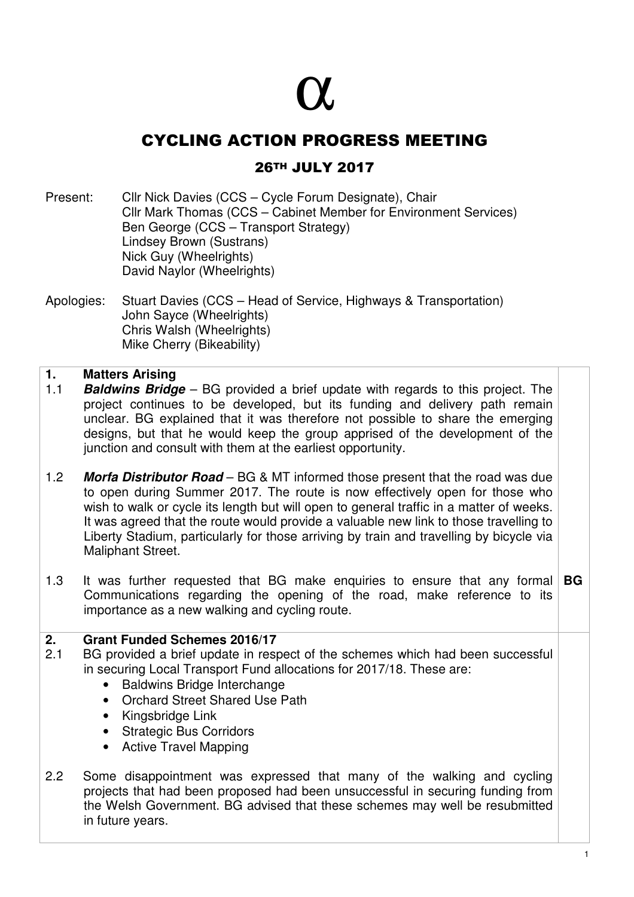# α

## CYCLING ACTION PROGRESS MEETING

### 26TH JULY 2017

Present: Cllr Nick Davies (CCS – Cycle Forum Designate), Chair Cllr Mark Thomas (CCS – Cabinet Member for Environment Services) Ben George (CCS – Transport Strategy) Lindsey Brown (Sustrans) Nick Guy (Wheelrights) David Naylor (Wheelrights)

Apologies: Stuart Davies (CCS – Head of Service, Highways & Transportation) John Sayce (Wheelrights) Chris Walsh (Wheelrights) Mike Cherry (Bikeability)

#### **1. Matters Arising**

- 1.1 **Baldwins Bridge** BG provided a brief update with regards to this project. The project continues to be developed, but its funding and delivery path remain unclear. BG explained that it was therefore not possible to share the emerging designs, but that he would keep the group apprised of the development of the junction and consult with them at the earliest opportunity.
- 1.2 **Morfa Distributor Road** BG & MT informed those present that the road was due to open during Summer 2017. The route is now effectively open for those who wish to walk or cycle its length but will open to general traffic in a matter of weeks. It was agreed that the route would provide a valuable new link to those travelling to Liberty Stadium, particularly for those arriving by train and travelling by bicycle via Maliphant Street.
- 1.3 It was further requested that BG make enquiries to ensure that any formal **BG** Communications regarding the opening of the road, make reference to its importance as a new walking and cycling route.

#### **2. Grant Funded Schemes 2016/17**

- 2.1 BG provided a brief update in respect of the schemes which had been successful in securing Local Transport Fund allocations for 2017/18. These are:
	- Baldwins Bridge Interchange
	- Orchard Street Shared Use Path
	- Kingsbridge Link
	- Strategic Bus Corridors
	- Active Travel Mapping
- 2.2 Some disappointment was expressed that many of the walking and cycling projects that had been proposed had been unsuccessful in securing funding from the Welsh Government. BG advised that these schemes may well be resubmitted in future years.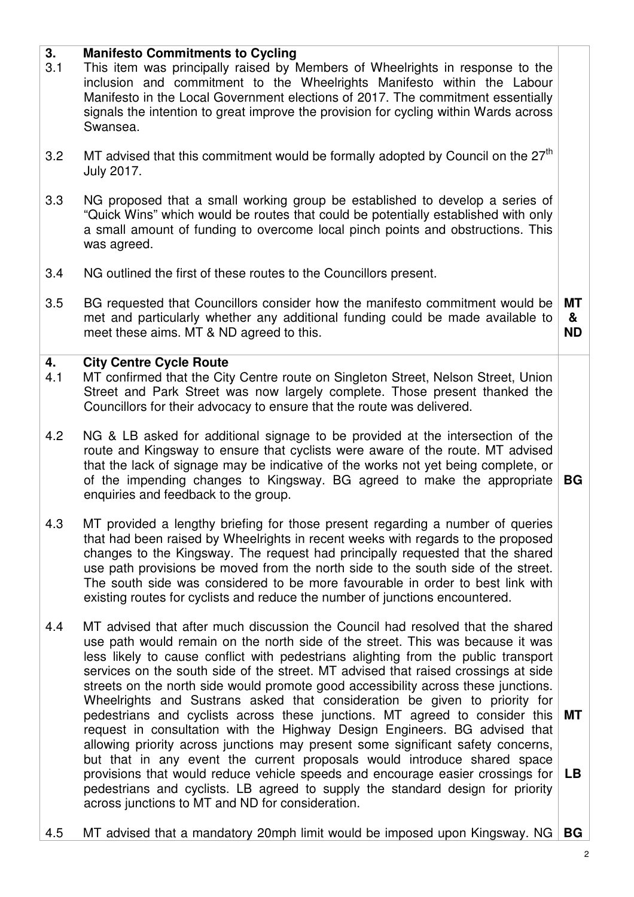#### **3. Manifesto Commitments to Cycling**

- 3.1 This item was principally raised by Members of Wheelrights in response to the inclusion and commitment to the Wheelrights Manifesto within the Labour Manifesto in the Local Government elections of 2017. The commitment essentially signals the intention to great improve the provision for cycling within Wards across Swansea.
- 3.2 MT advised that this commitment would be formally adopted by Council on the  $27<sup>th</sup>$ July 2017.
- 3.3 NG proposed that a small working group be established to develop a series of "Quick Wins" which would be routes that could be potentially established with only a small amount of funding to overcome local pinch points and obstructions. This was agreed.
- 3.4 NG outlined the first of these routes to the Councillors present.
- 3.5 BG requested that Councillors consider how the manifesto commitment would be met and particularly whether any additional funding could be made available to meet these aims. MT & ND agreed to this. **MT & ND**

#### **4. City Centre Cycle Route**

- 4.1 MT confirmed that the City Centre route on Singleton Street, Nelson Street, Union Street and Park Street was now largely complete. Those present thanked the Councillors for their advocacy to ensure that the route was delivered.
- 4.2 NG & LB asked for additional signage to be provided at the intersection of the route and Kingsway to ensure that cyclists were aware of the route. MT advised that the lack of signage may be indicative of the works not yet being complete, or of the impending changes to Kingsway. BG agreed to make the appropriate enquiries and feedback to the group. **BG**
- 4.3 MT provided a lengthy briefing for those present regarding a number of queries that had been raised by Wheelrights in recent weeks with regards to the proposed changes to the Kingsway. The request had principally requested that the shared use path provisions be moved from the north side to the south side of the street. The south side was considered to be more favourable in order to best link with existing routes for cyclists and reduce the number of junctions encountered.
- 4.4 MT advised that after much discussion the Council had resolved that the shared use path would remain on the north side of the street. This was because it was less likely to cause conflict with pedestrians alighting from the public transport services on the south side of the street. MT advised that raised crossings at side streets on the north side would promote good accessibility across these junctions. Wheelrights and Sustrans asked that consideration be given to priority for pedestrians and cyclists across these junctions. MT agreed to consider this request in consultation with the Highway Design Engineers. BG advised that allowing priority across junctions may present some significant safety concerns, but that in any event the current proposals would introduce shared space provisions that would reduce vehicle speeds and encourage easier crossings for **LB**  pedestrians and cyclists. LB agreed to supply the standard design for priority across junctions to MT and ND for consideration. **MT**
- 4.5 MT advised that a mandatory 20mph limit would be imposed upon Kingsway. NG **BG**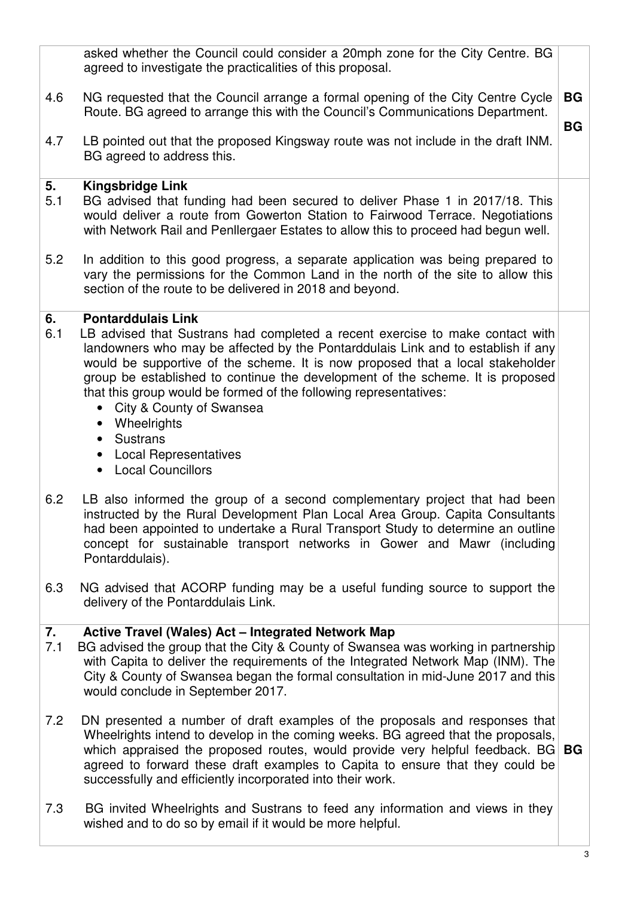| <b>BG</b><br>4.6<br>NG requested that the Council arrange a formal opening of the City Centre Cycle<br>Route. BG agreed to arrange this with the Council's Communications Department.<br><b>BG</b><br>4.7<br>LB pointed out that the proposed Kingsway route was not include in the draft INM.<br>BG agreed to address this.<br>5.<br><b>Kingsbridge Link</b><br>5.1<br>BG advised that funding had been secured to deliver Phase 1 in 2017/18. This<br>would deliver a route from Gowerton Station to Fairwood Terrace. Negotiations<br>with Network Rail and Penllergaer Estates to allow this to proceed had begun well.<br>5.2<br>In addition to this good progress, a separate application was being prepared to<br>vary the permissions for the Common Land in the north of the site to allow this<br>section of the route to be delivered in 2018 and beyond.<br><b>Pontarddulais Link</b><br>6.<br>6.1<br>LB advised that Sustrans had completed a recent exercise to make contact with<br>landowners who may be affected by the Pontarddulais Link and to establish if any<br>would be supportive of the scheme. It is now proposed that a local stakeholder<br>group be established to continue the development of the scheme. It is proposed<br>that this group would be formed of the following representatives:<br>City & County of Swansea<br>$\bullet$<br>Wheelrights<br>$\bullet$<br>Sustrans<br>$\bullet$<br><b>Local Representatives</b><br>$\bullet$<br><b>Local Councillors</b><br>$\bullet$<br>6.2<br>LB also informed the group of a second complementary project that had been<br>instructed by the Rural Development Plan Local Area Group. Capita Consultants<br>had been appointed to undertake a Rural Transport Study to determine an outline<br>concept for sustainable transport networks in Gower and Mawr (including<br>Pontarddulais).<br>6.3<br>NG advised that ACORP funding may be a useful funding source to support the<br>delivery of the Pontarddulais Link.<br>7.<br><b>Active Travel (Wales) Act - Integrated Network Map</b><br>7.1<br>BG advised the group that the City & County of Swansea was working in partnership<br>with Capita to deliver the requirements of the Integrated Network Map (INM). The<br>City & County of Swansea began the formal consultation in mid-June 2017 and this<br>would conclude in September 2017.<br>7.2<br>DN presented a number of draft examples of the proposals and responses that<br>Wheelrights intend to develop in the coming weeks. BG agreed that the proposals,<br>which appraised the proposed routes, would provide very helpful feedback. $BG BG$<br>agreed to forward these draft examples to Capita to ensure that they could be<br>successfully and efficiently incorporated into their work.<br>BG invited Wheelrights and Sustrans to feed any information and views in they<br>7.3<br>wished and to do so by email if it would be more helpful.<br>3 | asked whether the Council could consider a 20mph zone for the City Centre. BG<br>agreed to investigate the practicalities of this proposal. |  |
|----------------------------------------------------------------------------------------------------------------------------------------------------------------------------------------------------------------------------------------------------------------------------------------------------------------------------------------------------------------------------------------------------------------------------------------------------------------------------------------------------------------------------------------------------------------------------------------------------------------------------------------------------------------------------------------------------------------------------------------------------------------------------------------------------------------------------------------------------------------------------------------------------------------------------------------------------------------------------------------------------------------------------------------------------------------------------------------------------------------------------------------------------------------------------------------------------------------------------------------------------------------------------------------------------------------------------------------------------------------------------------------------------------------------------------------------------------------------------------------------------------------------------------------------------------------------------------------------------------------------------------------------------------------------------------------------------------------------------------------------------------------------------------------------------------------------------------------------------------------------------------------------------------------------------------------------------------------------------------------------------------------------------------------------------------------------------------------------------------------------------------------------------------------------------------------------------------------------------------------------------------------------------------------------------------------------------------------------------------------------------------------------------------------------------------------------------------------------------------------------------------------------------------------------------------------------------------------------------------------------------------------------------------------------------------------------------------------------------------------------------------------------------------------------------------------------------------------------------------------------------------------------------------------------------------------------------------|---------------------------------------------------------------------------------------------------------------------------------------------|--|
|                                                                                                                                                                                                                                                                                                                                                                                                                                                                                                                                                                                                                                                                                                                                                                                                                                                                                                                                                                                                                                                                                                                                                                                                                                                                                                                                                                                                                                                                                                                                                                                                                                                                                                                                                                                                                                                                                                                                                                                                                                                                                                                                                                                                                                                                                                                                                                                                                                                                                                                                                                                                                                                                                                                                                                                                                                                                                                                                                          |                                                                                                                                             |  |
|                                                                                                                                                                                                                                                                                                                                                                                                                                                                                                                                                                                                                                                                                                                                                                                                                                                                                                                                                                                                                                                                                                                                                                                                                                                                                                                                                                                                                                                                                                                                                                                                                                                                                                                                                                                                                                                                                                                                                                                                                                                                                                                                                                                                                                                                                                                                                                                                                                                                                                                                                                                                                                                                                                                                                                                                                                                                                                                                                          |                                                                                                                                             |  |
|                                                                                                                                                                                                                                                                                                                                                                                                                                                                                                                                                                                                                                                                                                                                                                                                                                                                                                                                                                                                                                                                                                                                                                                                                                                                                                                                                                                                                                                                                                                                                                                                                                                                                                                                                                                                                                                                                                                                                                                                                                                                                                                                                                                                                                                                                                                                                                                                                                                                                                                                                                                                                                                                                                                                                                                                                                                                                                                                                          |                                                                                                                                             |  |
|                                                                                                                                                                                                                                                                                                                                                                                                                                                                                                                                                                                                                                                                                                                                                                                                                                                                                                                                                                                                                                                                                                                                                                                                                                                                                                                                                                                                                                                                                                                                                                                                                                                                                                                                                                                                                                                                                                                                                                                                                                                                                                                                                                                                                                                                                                                                                                                                                                                                                                                                                                                                                                                                                                                                                                                                                                                                                                                                                          |                                                                                                                                             |  |
|                                                                                                                                                                                                                                                                                                                                                                                                                                                                                                                                                                                                                                                                                                                                                                                                                                                                                                                                                                                                                                                                                                                                                                                                                                                                                                                                                                                                                                                                                                                                                                                                                                                                                                                                                                                                                                                                                                                                                                                                                                                                                                                                                                                                                                                                                                                                                                                                                                                                                                                                                                                                                                                                                                                                                                                                                                                                                                                                                          |                                                                                                                                             |  |
|                                                                                                                                                                                                                                                                                                                                                                                                                                                                                                                                                                                                                                                                                                                                                                                                                                                                                                                                                                                                                                                                                                                                                                                                                                                                                                                                                                                                                                                                                                                                                                                                                                                                                                                                                                                                                                                                                                                                                                                                                                                                                                                                                                                                                                                                                                                                                                                                                                                                                                                                                                                                                                                                                                                                                                                                                                                                                                                                                          |                                                                                                                                             |  |
|                                                                                                                                                                                                                                                                                                                                                                                                                                                                                                                                                                                                                                                                                                                                                                                                                                                                                                                                                                                                                                                                                                                                                                                                                                                                                                                                                                                                                                                                                                                                                                                                                                                                                                                                                                                                                                                                                                                                                                                                                                                                                                                                                                                                                                                                                                                                                                                                                                                                                                                                                                                                                                                                                                                                                                                                                                                                                                                                                          |                                                                                                                                             |  |
|                                                                                                                                                                                                                                                                                                                                                                                                                                                                                                                                                                                                                                                                                                                                                                                                                                                                                                                                                                                                                                                                                                                                                                                                                                                                                                                                                                                                                                                                                                                                                                                                                                                                                                                                                                                                                                                                                                                                                                                                                                                                                                                                                                                                                                                                                                                                                                                                                                                                                                                                                                                                                                                                                                                                                                                                                                                                                                                                                          |                                                                                                                                             |  |
|                                                                                                                                                                                                                                                                                                                                                                                                                                                                                                                                                                                                                                                                                                                                                                                                                                                                                                                                                                                                                                                                                                                                                                                                                                                                                                                                                                                                                                                                                                                                                                                                                                                                                                                                                                                                                                                                                                                                                                                                                                                                                                                                                                                                                                                                                                                                                                                                                                                                                                                                                                                                                                                                                                                                                                                                                                                                                                                                                          |                                                                                                                                             |  |
|                                                                                                                                                                                                                                                                                                                                                                                                                                                                                                                                                                                                                                                                                                                                                                                                                                                                                                                                                                                                                                                                                                                                                                                                                                                                                                                                                                                                                                                                                                                                                                                                                                                                                                                                                                                                                                                                                                                                                                                                                                                                                                                                                                                                                                                                                                                                                                                                                                                                                                                                                                                                                                                                                                                                                                                                                                                                                                                                                          |                                                                                                                                             |  |